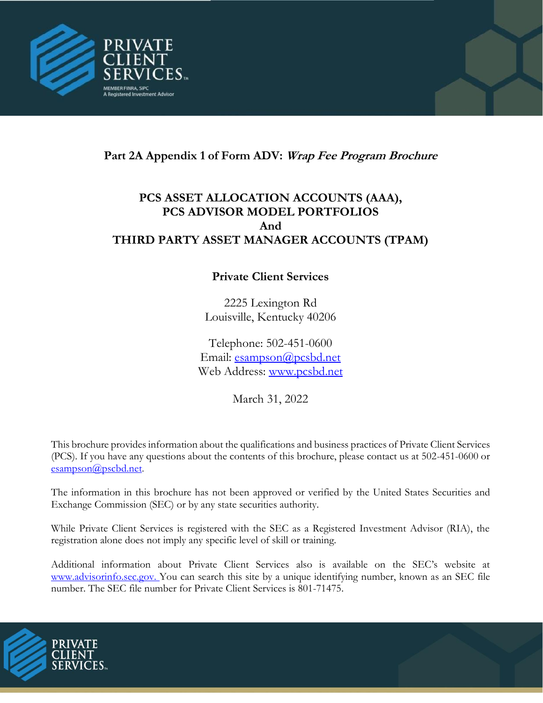

# **Part 2A Appendix 1 of Form ADV: Wrap Fee Program Brochure**

# **PCS ASSET ALLOCATION ACCOUNTS (AAA), PCS ADVISOR MODEL PORTFOLIOS And THIRD PARTY ASSET MANAGER ACCOUNTS (TPAM)**

# **Private Client Services**

2225 Lexington Rd Louisville, Kentucky 40206

Telephone: 502-451-0600 Email: [esampson@pcsbd.net](mailto:esampson@pcsbd.net) Web Ad[dress:](http://www.pcsbd.net/) [www.pcsbd.net](file:///C:/Users/cmccurdy/Documents/Compliance/Form%20ADV/www.pcsbd.net)

March 31, 2022

This brochure provides information about the qualifications and business practices of Private Client Services (PCS). If you have any questions about the contents of this brochure, please contact us at 502-451-0600 or [esampson@pscbd.net](mailto:esampson@pscbd.net).

The information in this brochure has not been approved or verified by the United States Securities and Exchange Commission (SEC) or by any state securities authority.

While Private Client Services is registered with the SEC as a Registered Investment Advisor (RIA), the registration alone does not imply any specific level of skill or training.

Additional information about Private Client Services also is available on the SEC's website at www.advisorinfo.sec.gov. You can search this site by a unique identifying number, known as an SEC file number. The SEC file number for Private Client Services is 801-71475.

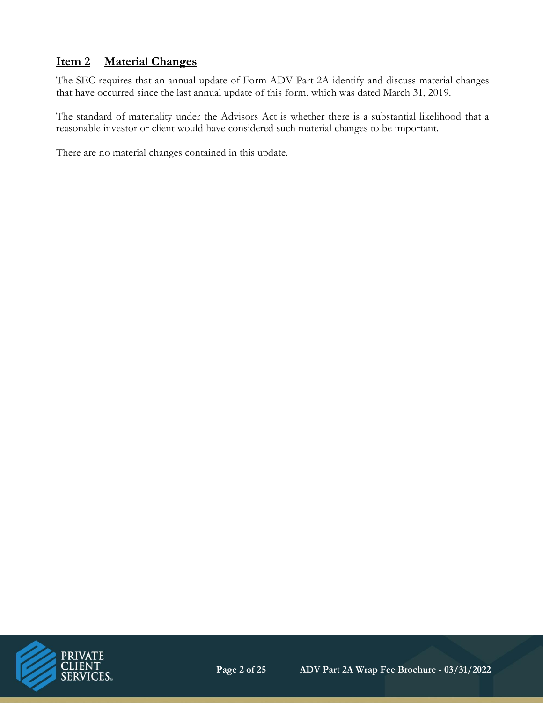# **Item 2 Material Changes**

The SEC requires that an annual update of Form ADV Part 2A identify and discuss material changes that have occurred since the last annual update of this form, which was dated March 31, 2019.

The standard of materiality under the Advisors Act is whether there is a substantial likelihood that a reasonable investor or client would have considered such material changes to be important.

There are no material changes contained in this update.

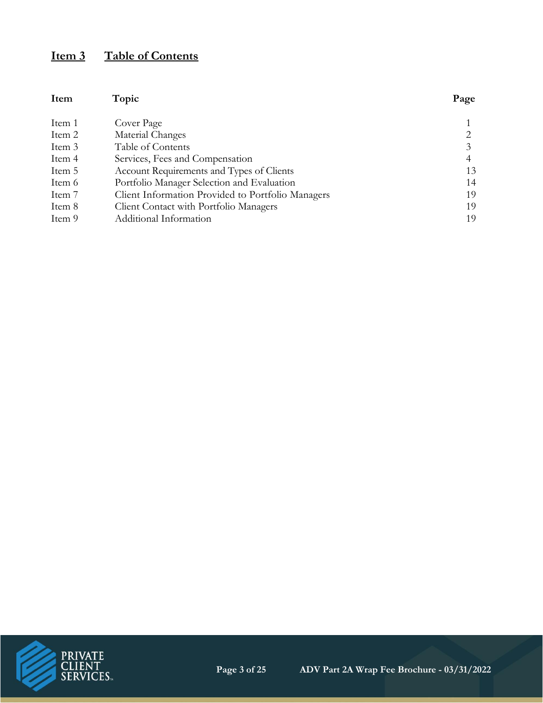# **Item 3 Table of Contents**

| Item   | Topic                                             | Page |
|--------|---------------------------------------------------|------|
| Item 1 | Cover Page                                        |      |
| Item 2 | Material Changes                                  | 2    |
| Item 3 | Table of Contents                                 | 3    |
| Item 4 | Services, Fees and Compensation                   | 4    |
| Item 5 | Account Requirements and Types of Clients         | 13   |
| Item 6 | Portfolio Manager Selection and Evaluation        | 14   |
| Item 7 | Client Information Provided to Portfolio Managers | 19   |
| Item 8 | Client Contact with Portfolio Managers            | 19   |
| Item 9 | Additional Information                            | 19   |

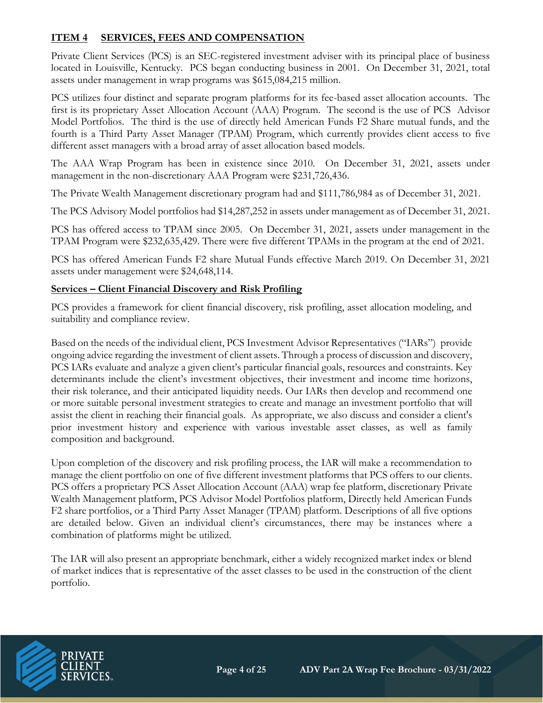# **ITEM 4 SERVICES, FEES AND COMPENSATION**

Private Client Services (PCS) is an SEC-registered investment adviser with its principal place of business located in Louisville, Kentucky. PCS began conducting business in 2001. On December 31, 2021, total assets under management in wrap programs was \$615,084,215 million.

PCS utilizes four distinct and separate program platforms for its fee-based asset allocation accounts. The first is its proprietary Asset Allocation Account (AAA) Program. The second is the use of PCS Advisor Model Portfolios. The third is the use of directly held American Funds F2 Share mutual funds, and the fourth is a Third Party Asset Manager (TPAM) Program, which currently provides client access to five different asset managers with a broad array of asset allocation based models.

The AAA Wrap Program has been in existence since 2010. On December 31, 2021, assets under management in the non-discretionary AAA Program were \$231,726,436.

The Private Wealth Management discretionary program had and \$111,786,984 as of December 31, 2021.

The PCS Advisory Model portfolios had \$14,287,252 in assets under management as of December 31, 2021.

PCS has offered access to TPAM since 2005. On December 31, 2021, assets under management in the TPAM Program were \$232,635,429. There were five different TPAMs in the program at the end of 2021.

PCS has offered American Funds F2 share Mutual Funds effective March 2019. On December 31, 2021 assets under management were \$24,648,114.

#### **Services – Client Financial Discovery and Risk Profiling**

PCS provides a framework for client financial discovery, risk profiling, asset allocation modeling, and suitability and compliance review.

Based on the needs of the individual client, PCS Investment Advisor Representatives ("IARs") provide ongoing advice regarding the investment of client assets. Through a process of discussion and discovery, PCS IARs evaluate and analyze a given client's particular financial goals, resources and constraints. Key determinants include the client's investment objectives, their investment and income time horizons, their risk tolerance, and their anticipated liquidity needs. Our IARs then develop and recommend one or more suitable personal investment strategies to create and manage an investment portfolio that will assist the client in reaching their financial goals. As appropriate, we also discuss and consider a client's prior investment history and experience with various investable asset classes, as well as family composition and background.

Upon completion of the discovery and risk profiling process, the IAR will make a recommendation to manage the client portfolio on one of five different investment platforms that PCS offers to our clients. PCS offers a proprietary PCS Asset Allocation Account (AAA) wrap fee platform, discretionary Private Wealth Management platform, PCS Advisor Model Portfolios platform, Directly held American Funds F2 share portfolios, or a Third Party Asset Manager (TPAM) platform. Descriptions of all five options are detailed below. Given an individual client's circumstances, there may be instances where a combination of platforms might be utilized.

The IAR will also present an appropriate benchmark, either a widely recognized market index or blend of market indices that is representative of the asset classes to be used in the construction of the client portfolio.

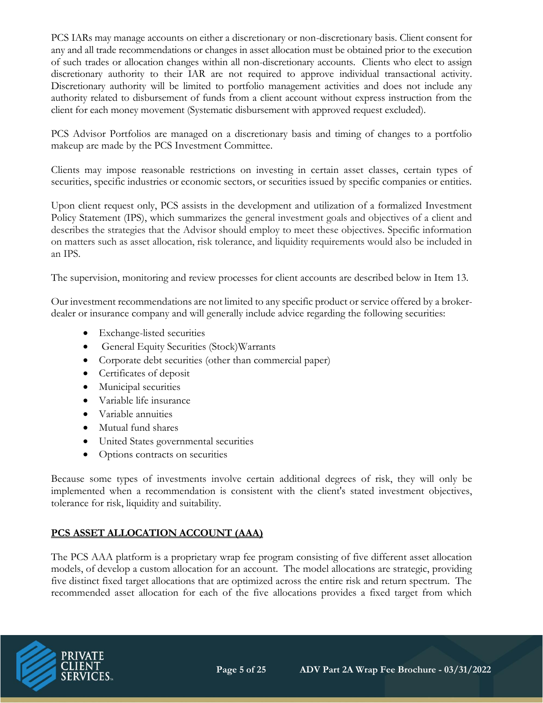PCS IARs may manage accounts on either a discretionary or non-discretionary basis. Client consent for any and all trade recommendations or changes in asset allocation must be obtained prior to the execution of such trades or allocation changes within all non-discretionary accounts. Clients who elect to assign discretionary authority to their IAR are not required to approve individual transactional activity. Discretionary authority will be limited to portfolio management activities and does not include any authority related to disbursement of funds from a client account without express instruction from the client for each money movement (Systematic disbursement with approved request excluded).

PCS Advisor Portfolios are managed on a discretionary basis and timing of changes to a portfolio makeup are made by the PCS Investment Committee.

Clients may impose reasonable restrictions on investing in certain asset classes, certain types of securities, specific industries or economic sectors, or securities issued by specific companies or entities.

Upon client request only, PCS assists in the development and utilization of a formalized Investment Policy Statement (IPS), which summarizes the general investment goals and objectives of a client and describes the strategies that the Advisor should employ to meet these objectives. Specific information on matters such as asset allocation, risk tolerance, and liquidity requirements would also be included in an IPS.

The supervision, monitoring and review processes for client accounts are described below in Item 13.

Our investment recommendations are not limited to any specific product or service offered by a brokerdealer or insurance company and will generally include advice regarding the following securities:

- Exchange-listed securities
- General Equity Securities (Stock)Warrants
- Corporate debt securities (other than commercial paper)
- Certificates of deposit
- Municipal securities
- Variable life insurance
- Variable annuities
- Mutual fund shares
- United States governmental securities
- Options contracts on securities

Because some types of investments involve certain additional degrees of risk, they will only be implemented when a recommendation is consistent with the client's stated investment objectives, tolerance for risk, liquidity and suitability.

# **PCS ASSET ALLOCATION ACCOUNT (AAA)**

The PCS AAA platform is a proprietary wrap fee program consisting of five different asset allocation models, of develop a custom allocation for an account. The model allocations are strategic, providing five distinct fixed target allocations that are optimized across the entire risk and return spectrum. The recommended asset allocation for each of the five allocations provides a fixed target from which

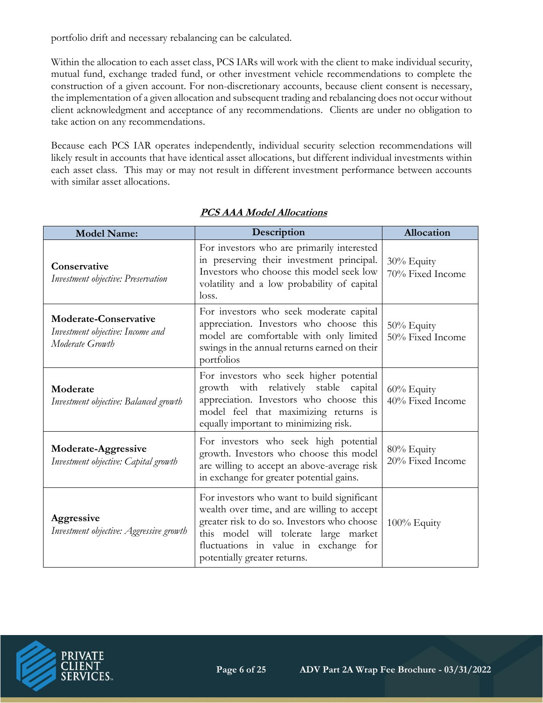portfolio drift and necessary rebalancing can be calculated.

Within the allocation to each asset class, PCS IARs will work with the client to make individual security, mutual fund, exchange traded fund, or other investment vehicle recommendations to complete the construction of a given account. For non-discretionary accounts, because client consent is necessary, the implementation of a given allocation and subsequent trading and rebalancing does not occur without client acknowledgment and acceptance of any recommendations. Clients are under no obligation to take action on any recommendations.

Because each PCS IAR operates independently, individual security selection recommendations will likely result in accounts that have identical asset allocations, but different individual investments within each asset class. This may or may not result in different investment performance between accounts with similar asset allocations.

| <b>Model Name:</b>                                                                  | Description                                                                                                                                                                                                                                                 | Allocation                     |
|-------------------------------------------------------------------------------------|-------------------------------------------------------------------------------------------------------------------------------------------------------------------------------------------------------------------------------------------------------------|--------------------------------|
| Conservative<br>Investment objective: Preservation                                  | For investors who are primarily interested<br>in preserving their investment principal.<br>Investors who choose this model seek low<br>volatility and a low probability of capital<br>loss.                                                                 | 30% Equity<br>70% Fixed Income |
| <b>Moderate-Conservative</b><br>Investment objective: Income and<br>Moderate Growth | For investors who seek moderate capital<br>appreciation. Investors who choose this<br>model are comfortable with only limited<br>swings in the annual returns earned on their<br>portfolios                                                                 | 50% Equity<br>50% Fixed Income |
| Moderate<br>Investment objective: Balanced growth                                   | For investors who seek higher potential<br>growth with relatively stable capital<br>appreciation. Investors who choose this<br>model feel that maximizing returns is<br>equally important to minimizing risk.                                               | 60% Equity<br>40% Fixed Income |
| Moderate-Aggressive<br>Investment objective: Capital growth                         | For investors who seek high potential<br>growth. Investors who choose this model<br>are willing to accept an above-average risk<br>in exchange for greater potential gains.                                                                                 | 80% Equity<br>20% Fixed Income |
| Aggressive<br>Investment objective: Aggressive growth                               | For investors who want to build significant<br>wealth over time, and are willing to accept<br>greater risk to do so. Investors who choose<br>this model will tolerate large market<br>fluctuations in value in exchange for<br>potentially greater returns. | 100% Equity                    |

# **PCS AAA Model Allocations**

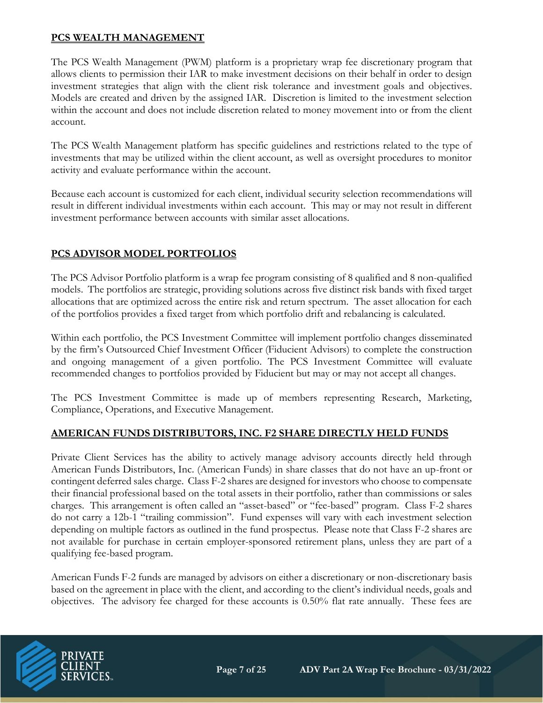### **PCS WEALTH MANAGEMENT**

The PCS Wealth Management (PWM) platform is a proprietary wrap fee discretionary program that allows clients to permission their IAR to make investment decisions on their behalf in order to design investment strategies that align with the client risk tolerance and investment goals and objectives. Models are created and driven by the assigned IAR. Discretion is limited to the investment selection within the account and does not include discretion related to money movement into or from the client account.

The PCS Wealth Management platform has specific guidelines and restrictions related to the type of investments that may be utilized within the client account, as well as oversight procedures to monitor activity and evaluate performance within the account.

Because each account is customized for each client, individual security selection recommendations will result in different individual investments within each account. This may or may not result in different investment performance between accounts with similar asset allocations.

# **PCS ADVISOR MODEL PORTFOLIOS**

The PCS Advisor Portfolio platform is a wrap fee program consisting of 8 qualified and 8 non-qualified models. The portfolios are strategic, providing solutions across five distinct risk bands with fixed target allocations that are optimized across the entire risk and return spectrum. The asset allocation for each of the portfolios provides a fixed target from which portfolio drift and rebalancing is calculated.

Within each portfolio, the PCS Investment Committee will implement portfolio changes disseminated by the firm's Outsourced Chief Investment Officer (Fiducient Advisors) to complete the construction and ongoing management of a given portfolio. The PCS Investment Committee will evaluate recommended changes to portfolios provided by Fiducient but may or may not accept all changes.

The PCS Investment Committee is made up of members representing Research, Marketing, Compliance, Operations, and Executive Management.

# **AMERICAN FUNDS DISTRIBUTORS, INC. F2 SHARE DIRECTLY HELD FUNDS**

Private Client Services has the ability to actively manage advisory accounts directly held through American Funds Distributors, Inc. (American Funds) in share classes that do not have an up-front or contingent deferred sales charge. Class F-2 shares are designed for investors who choose to compensate their financial professional based on the total assets in their portfolio, rather than commissions or sales charges. This arrangement is often called an "asset-based" or "fee-based" program. Class F-2 shares do not carry a 12b-1 "trailing commission". Fund expenses will vary with each investment selection depending on multiple factors as outlined in the fund prospectus. Please note that Class F-2 shares are not available for purchase in certain employer-sponsored retirement plans, unless they are part of a qualifying fee-based program.

American Funds F-2 funds are managed by advisors on either a discretionary or non-discretionary basis based on the agreement in place with the client, and according to the client's individual needs, goals and objectives. The advisory fee charged for these accounts is 0.50% flat rate annually. These fees are

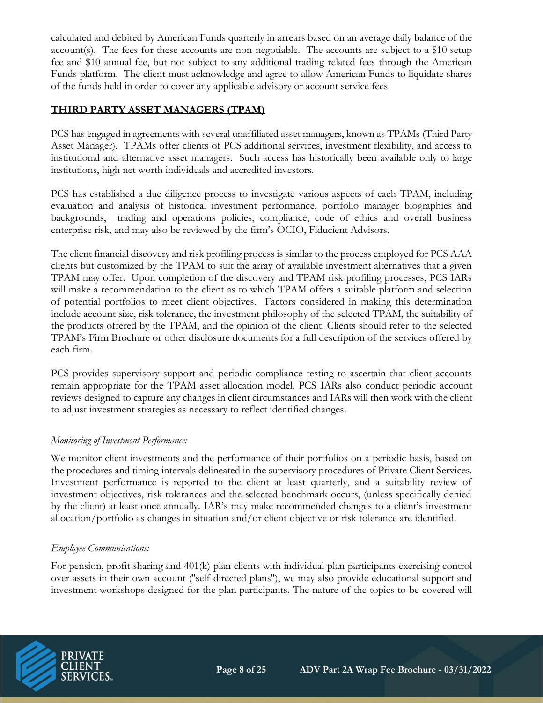calculated and debited by American Funds quarterly in arrears based on an average daily balance of the account(s). The fees for these accounts are non-negotiable. The accounts are subject to a \$10 setup fee and \$10 annual fee, but not subject to any additional trading related fees through the American Funds platform. The client must acknowledge and agree to allow American Funds to liquidate shares of the funds held in order to cover any applicable advisory or account service fees.

# **THIRD PARTY ASSET MANAGERS (TPAM)**

PCS has engaged in agreements with several unaffiliated asset managers, known as TPAMs (Third Party Asset Manager). TPAMs offer clients of PCS additional services, investment flexibility, and access to institutional and alternative asset managers. Such access has historically been available only to large institutions, high net worth individuals and accredited investors.

PCS has established a due diligence process to investigate various aspects of each TPAM, including evaluation and analysis of historical investment performance, portfolio manager biographies and backgrounds, trading and operations policies, compliance, code of ethics and overall business enterprise risk, and may also be reviewed by the firm's OCIO, Fiducient Advisors.

The client financial discovery and risk profiling process is similar to the process employed for PCS AAA clients but customized by the TPAM to suit the array of available investment alternatives that a given TPAM may offer. Upon completion of the discovery and TPAM risk profiling processes, PCS IARs will make a recommendation to the client as to which TPAM offers a suitable platform and selection of potential portfolios to meet client objectives. Factors considered in making this determination include account size, risk tolerance, the investment philosophy of the selected TPAM, the suitability of the products offered by the TPAM, and the opinion of the client. Clients should refer to the selected TPAM's Firm Brochure or other disclosure documents for a full description of the services offered by each firm.

PCS provides supervisory support and periodic compliance testing to ascertain that client accounts remain appropriate for the TPAM asset allocation model. PCS IARs also conduct periodic account reviews designed to capture any changes in client circumstances and IARs will then work with the client to adjust investment strategies as necessary to reflect identified changes.

# *Monitoring of Investment Performance:*

We monitor client investments and the performance of their portfolios on a periodic basis, based on the procedures and timing intervals delineated in the supervisory procedures of Private Client Services. Investment performance is reported to the client at least quarterly, and a suitability review of investment objectives, risk tolerances and the selected benchmark occurs, (unless specifically denied by the client) at least once annually. IAR's may make recommended changes to a client's investment allocation/portfolio as changes in situation and/or client objective or risk tolerance are identified.

#### *Employee Communications:*

For pension, profit sharing and 401(k) plan clients with individual plan participants exercising control over assets in their own account (''self-directed plans''), we may also provide educational support and investment workshops designed for the plan participants. The nature of the topics to be covered will

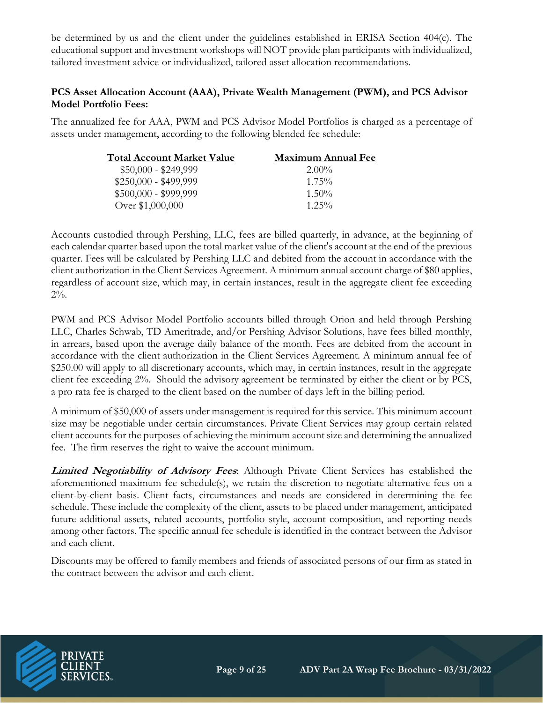be determined by us and the client under the guidelines established in ERISA Section 404(c). The educational support and investment workshops will NOT provide plan participants with individualized, tailored investment advice or individualized, tailored asset allocation recommendations.

# **PCS Asset Allocation Account (AAA), Private Wealth Management (PWM), and PCS Advisor Model Portfolio Fees:**

The annualized fee for AAA, PWM and PCS Advisor Model Portfolios is charged as a percentage of assets under management, according to the following blended fee schedule:

| <b>Total Account Market Value</b> | Maximum Annual Fee |
|-----------------------------------|--------------------|
| $$50,000 - $249,999$              | $2.00\%$           |
| $$250,000 - $499,999$             | $1.75\%$           |
| $$500,000 - $999,999$             | $1.50\%$           |
| Over \$1,000,000                  | $1.25\%$           |

Accounts custodied through Pershing, LLC, fees are billed quarterly, in advance, at the beginning of each calendar quarter based upon the total market value of the client's account at the end of the previous quarter. Fees will be calculated by Pershing LLC and debited from the account in accordance with the client authorization in the Client Services Agreement. A minimum annual account charge of \$80 applies, regardless of account size, which may, in certain instances, result in the aggregate client fee exceeding  $2\%$ .

PWM and PCS Advisor Model Portfolio accounts billed through Orion and held through Pershing LLC, Charles Schwab, TD Ameritrade, and/or Pershing Advisor Solutions, have fees billed monthly, in arrears, based upon the average daily balance of the month. Fees are debited from the account in accordance with the client authorization in the Client Services Agreement. A minimum annual fee of \$250.00 will apply to all discretionary accounts, which may, in certain instances, result in the aggregate client fee exceeding 2%. Should the advisory agreement be terminated by either the client or by PCS, a pro rata fee is charged to the client based on the number of days left in the billing period.

A minimum of \$50,000 of assets under management is required for this service. This minimum account size may be negotiable under certain circumstances. Private Client Services may group certain related client accounts for the purposes of achieving the minimum account size and determining the annualized fee. The firm reserves the right to waive the account minimum.

**Limited Negotiability of Advisory Fees**: Although Private Client Services has established the aforementioned maximum fee schedule(s), we retain the discretion to negotiate alternative fees on a client-by-client basis. Client facts, circumstances and needs are considered in determining the fee schedule. These include the complexity of the client, assets to be placed under management, anticipated future additional assets, related accounts, portfolio style, account composition, and reporting needs among other factors. The specific annual fee schedule is identified in the contract between the Advisor and each client.

Discounts may be offered to family members and friends of associated persons of our firm as stated in the contract between the advisor and each client.

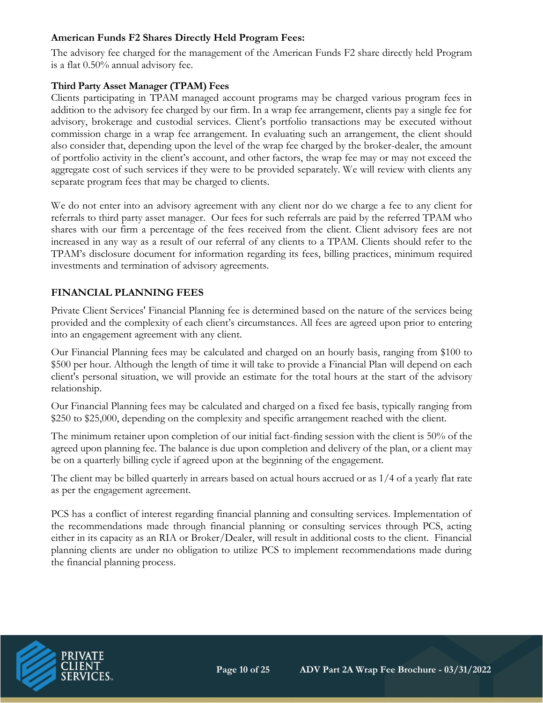### **American Funds F2 Shares Directly Held Program Fees:**

The advisory fee charged for the management of the American Funds F2 share directly held Program is a flat 0.50% annual advisory fee.

# **Third Party Asset Manager (TPAM) Fees**

Clients participating in TPAM managed account programs may be charged various program fees in addition to the advisory fee charged by our firm. In a wrap fee arrangement, clients pay a single fee for advisory, brokerage and custodial services. Client's portfolio transactions may be executed without commission charge in a wrap fee arrangement. In evaluating such an arrangement, the client should also consider that, depending upon the level of the wrap fee charged by the broker-dealer, the amount of portfolio activity in the client's account, and other factors, the wrap fee may or may not exceed the aggregate cost of such services if they were to be provided separately. We will review with clients any separate program fees that may be charged to clients.

We do not enter into an advisory agreement with any client nor do we charge a fee to any client for referrals to third party asset manager. Our fees for such referrals are paid by the referred TPAM who shares with our firm a percentage of the fees received from the client. Client advisory fees are not increased in any way as a result of our referral of any clients to a TPAM. Clients should refer to the TPAM's disclosure document for information regarding its fees, billing practices, minimum required investments and termination of advisory agreements.

# **FINANCIAL PLANNING FEES**

Private Client Services' Financial Planning fee is determined based on the nature of the services being provided and the complexity of each client's circumstances. All fees are agreed upon prior to entering into an engagement agreement with any client.

Our Financial Planning fees may be calculated and charged on an hourly basis, ranging from \$100 to \$500 per hour. Although the length of time it will take to provide a Financial Plan will depend on each client's personal situation, we will provide an estimate for the total hours at the start of the advisory relationship.

Our Financial Planning fees may be calculated and charged on a fixed fee basis, typically ranging from \$250 to \$25,000, depending on the complexity and specific arrangement reached with the client.

The minimum retainer upon completion of our initial fact-finding session with the client is 50% of the agreed upon planning fee. The balance is due upon completion and delivery of the plan, or a client may be on a quarterly billing cycle if agreed upon at the beginning of the engagement.

The client may be billed quarterly in arrears based on actual hours accrued or as 1/4 of a yearly flat rate as per the engagement agreement.

PCS has a conflict of interest regarding financial planning and consulting services. Implementation of the recommendations made through financial planning or consulting services through PCS, acting either in its capacity as an RIA or Broker/Dealer, will result in additional costs to the client. Financial planning clients are under no obligation to utilize PCS to implement recommendations made during the financial planning process.

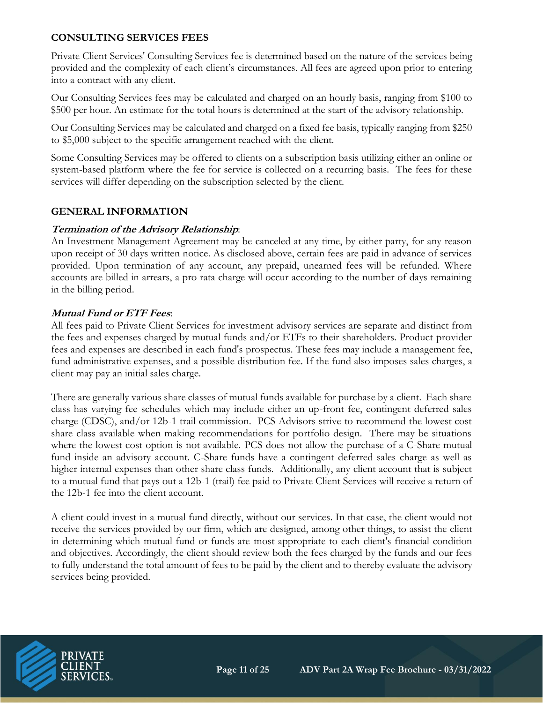# **CONSULTING SERVICES FEES**

Private Client Services' Consulting Services fee is determined based on the nature of the services being provided and the complexity of each client's circumstances. All fees are agreed upon prior to entering into a contract with any client.

Our Consulting Services fees may be calculated and charged on an hourly basis, ranging from \$100 to \$500 per hour. An estimate for the total hours is determined at the start of the advisory relationship.

Our Consulting Services may be calculated and charged on a fixed fee basis, typically ranging from \$250 to \$5,000 subject to the specific arrangement reached with the client.

Some Consulting Services may be offered to clients on a subscription basis utilizing either an online or system-based platform where the fee for service is collected on a recurring basis. The fees for these services will differ depending on the subscription selected by the client.

#### **GENERAL INFORMATION**

#### **Termination of the Advisory Relationship**:

An Investment Management Agreement may be canceled at any time, by either party, for any reason upon receipt of 30 days written notice. As disclosed above, certain fees are paid in advance of services provided. Upon termination of any account, any prepaid, unearned fees will be refunded. Where accounts are billed in arrears, a pro rata charge will occur according to the number of days remaining in the billing period.

#### **Mutual Fund or ETF Fees**:

All fees paid to Private Client Services for investment advisory services are separate and distinct from the fees and expenses charged by mutual funds and/or ETFs to their shareholders. Product provider fees and expenses are described in each fund's prospectus. These fees may include a management fee, fund administrative expenses, and a possible distribution fee. If the fund also imposes sales charges, a client may pay an initial sales charge.

There are generally various share classes of mutual funds available for purchase by a client. Each share class has varying fee schedules which may include either an up-front fee, contingent deferred sales charge (CDSC), and/or 12b-1 trail commission. PCS Advisors strive to recommend the lowest cost share class available when making recommendations for portfolio design. There may be situations where the lowest cost option is not available. PCS does not allow the purchase of a C-Share mutual fund inside an advisory account. C-Share funds have a contingent deferred sales charge as well as higher internal expenses than other share class funds. Additionally, any client account that is subject to a mutual fund that pays out a 12b-1 (trail) fee paid to Private Client Services will receive a return of the 12b-1 fee into the client account.

A client could invest in a mutual fund directly, without our services. In that case, the client would not receive the services provided by our firm, which are designed, among other things, to assist the client in determining which mutual fund or funds are most appropriate to each client's financial condition and objectives. Accordingly, the client should review both the fees charged by the funds and our fees to fully understand the total amount of fees to be paid by the client and to thereby evaluate the advisory services being provided.

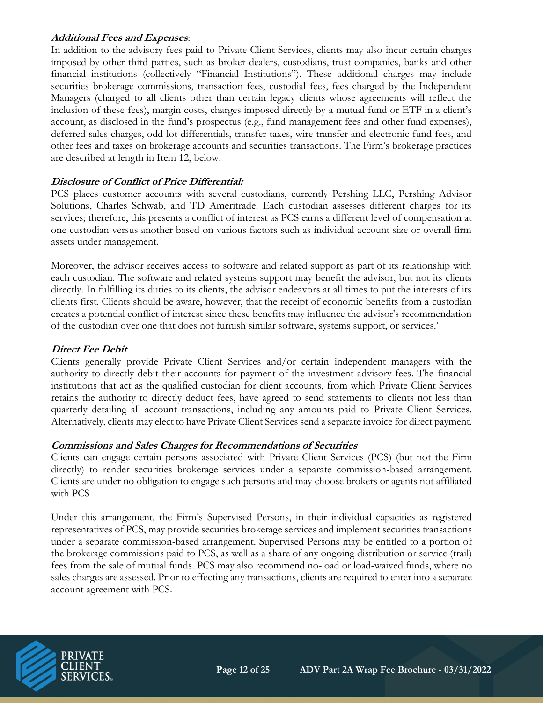### **Additional Fees and Expenses**:

In addition to the advisory fees paid to Private Client Services, clients may also incur certain charges imposed by other third parties, such as broker-dealers, custodians, trust companies, banks and other financial institutions (collectively "Financial Institutions"). These additional charges may include securities brokerage commissions, transaction fees, custodial fees, fees charged by the Independent Managers (charged to all clients other than certain legacy clients whose agreements will reflect the inclusion of these fees), margin costs, charges imposed directly by a mutual fund or ETF in a client's account, as disclosed in the fund's prospectus (e.g., fund management fees and other fund expenses), deferred sales charges, odd-lot differentials, transfer taxes, wire transfer and electronic fund fees, and other fees and taxes on brokerage accounts and securities transactions. The Firm's brokerage practices are described at length in Item 12, below.

# **Disclosure of Conflict of Price Differential:**

PCS places customer accounts with several custodians, currently Pershing LLC, Pershing Advisor Solutions, Charles Schwab, and TD Ameritrade. Each custodian assesses different charges for its services; therefore, this presents a conflict of interest as PCS earns a different level of compensation at one custodian versus another based on various factors such as individual account size or overall firm assets under management.

Moreover, the advisor receives access to software and related support as part of its relationship with each custodian. The software and related systems support may benefit the advisor, but not its clients directly. In fulfilling its duties to its clients, the advisor endeavors at all times to put the interests of its clients first. Clients should be aware, however, that the receipt of economic benefits from a custodian creates a potential conflict of interest since these benefits may influence the advisor's recommendation of the custodian over one that does not furnish similar software, systems support, or services.'

#### **Direct Fee Debit**

Clients generally provide Private Client Services and/or certain independent managers with the authority to directly debit their accounts for payment of the investment advisory fees. The financial institutions that act as the qualified custodian for client accounts, from which Private Client Services retains the authority to directly deduct fees, have agreed to send statements to clients not less than quarterly detailing all account transactions, including any amounts paid to Private Client Services. Alternatively, clients may elect to have Private Client Services send a separate invoice for direct payment.

#### **Commissions and Sales Charges for Recommendations of Securities**

Clients can engage certain persons associated with Private Client Services (PCS) (but not the Firm directly) to render securities brokerage services under a separate commission-based arrangement. Clients are under no obligation to engage such persons and may choose brokers or agents not affiliated with PCS

Under this arrangement, the Firm's Supervised Persons, in their individual capacities as registered representatives of PCS, may provide securities brokerage services and implement securities transactions under a separate commission-based arrangement. Supervised Persons may be entitled to a portion of the brokerage commissions paid to PCS, as well as a share of any ongoing distribution or service (trail) fees from the sale of mutual funds. PCS may also recommend no-load or load-waived funds, where no sales charges are assessed. Prior to effecting any transactions, clients are required to enter into a separate account agreement with PCS.

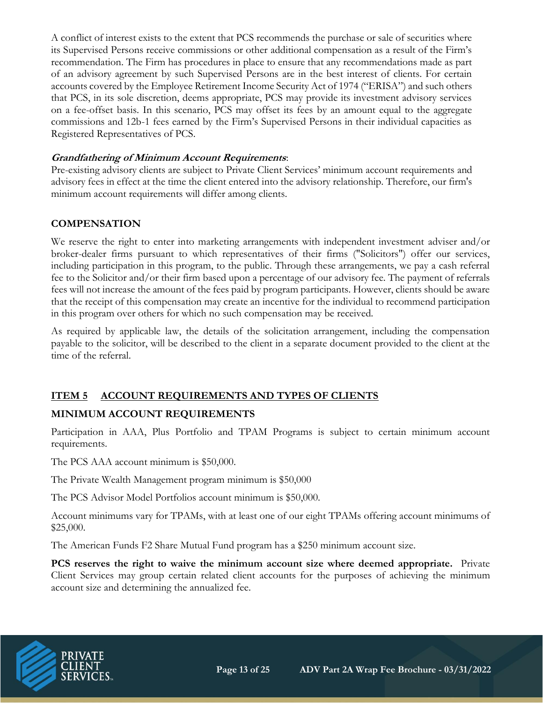A conflict of interest exists to the extent that PCS recommends the purchase or sale of securities where its Supervised Persons receive commissions or other additional compensation as a result of the Firm's recommendation. The Firm has procedures in place to ensure that any recommendations made as part of an advisory agreement by such Supervised Persons are in the best interest of clients. For certain accounts covered by the Employee Retirement Income Security Act of 1974 ("ERISA") and such others that PCS, in its sole discretion, deems appropriate, PCS may provide its investment advisory services on a fee-offset basis. In this scenario, PCS may offset its fees by an amount equal to the aggregate commissions and 12b-1 fees earned by the Firm's Supervised Persons in their individual capacities as Registered Representatives of PCS.

#### **Grandfathering of Minimum Account Requirements**:

Pre-existing advisory clients are subject to Private Client Services' minimum account requirements and advisory fees in effect at the time the client entered into the advisory relationship. Therefore, our firm's minimum account requirements will differ among clients.

#### **COMPENSATION**

We reserve the right to enter into marketing arrangements with independent investment adviser and/or broker-dealer firms pursuant to which representatives of their firms ("Solicitors") offer our services, including participation in this program, to the public. Through these arrangements, we pay a cash referral fee to the Solicitor and/or their firm based upon a percentage of our advisory fee. The payment of referrals fees will not increase the amount of the fees paid by program participants. However, clients should be aware that the receipt of this compensation may create an incentive for the individual to recommend participation in this program over others for which no such compensation may be received.

As required by applicable law, the details of the solicitation arrangement, including the compensation payable to the solicitor, will be described to the client in a separate document provided to the client at the time of the referral.

#### **ITEM 5 ACCOUNT REQUIREMENTS AND TYPES OF CLIENTS**

# **MINIMUM ACCOUNT REQUIREMENTS**

Participation in AAA, Plus Portfolio and TPAM Programs is subject to certain minimum account requirements.

The PCS AAA account minimum is \$50,000.

The Private Wealth Management program minimum is \$50,000

The PCS Advisor Model Portfolios account minimum is \$50,000.

Account minimums vary for TPAMs, with at least one of our eight TPAMs offering account minimums of \$25,000.

The American Funds F2 Share Mutual Fund program has a \$250 minimum account size.

**PCS reserves the right to waive the minimum account size where deemed appropriate.** Private Client Services may group certain related client accounts for the purposes of achieving the minimum account size and determining the annualized fee.

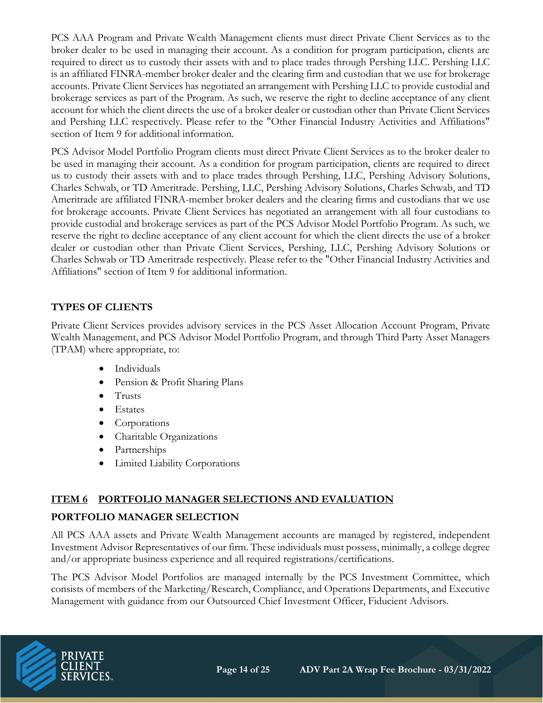PCS AAA Program and Private Wealth Management clients must direct Private Client Services as to the broker dealer to be used in managing their account. As a condition for program participation, clients are required to direct us to custody their assets with and to place trades through Pershing LLC. Pershing LLC is an affiliated FINRA-member broker dealer and the clearing firm and custodian that we use for brokerage accounts. Private Client Services has negotiated an arrangement with Pershing LLC to provide custodial and brokerage services as part of the Program. As such, we reserve the right to decline acceptance of any client account for which the client directs the use of a broker dealer or custodian other than Private Client Services and Pershing LLC respectively. Please refer to the "Other Financial Industry Activities and Affiliations" section of Item 9 for additional information.

PCS Advisor Model Portfolio Program clients must direct Private Client Services as to the broker dealer to be used in managing their account. As a condition for program participation, clients are required to direct us to custody their assets with and to place trades through Pershing, LLC, Pershing Advisory Solutions, Charles Schwab, or TD Ameritrade. Pershing, LLC, Pershing Advisory Solutions, Charles Schwab, and TD Ameritrade are affiliated FINRA-member broker dealers and the clearing firms and custodians that we use for brokerage accounts. Private Client Services has negotiated an arrangement with all four custodians to provide custodial and brokerage services as part of the PCS Advisor Model Portfolio Program. As such, we reserve the right to decline acceptance of any client account for which the client directs the use of a broker dealer or custodian other than Private Client Services, Pershing, LLC, Pershing Advisory Solutions or Charles Schwab or TD Ameritrade respectively. Please refer to the "Other Financial Industry Activities and Affiliations" section of Item 9 for additional information.

# **TYPES OF CLIENTS**

Private Client Services provides advisory services in the PCS Asset Allocation Account Program, Private Wealth Management, and PCS Advisor Model Portfolio Program, and through Third Party Asset Managers (TPAM) where appropriate, to:

- Individuals
- Pension & Profit Sharing Plans
- Trusts
- Estates
- Corporations
- Charitable Organizations
- Partnerships
- Limited Liability Corporations

# **ITEM 6 PORTFOLIO MANAGER SELECTIONS AND EVALUATION**

# **PORTFOLIO MANAGER SELECTION**

All PCS AAA assets and Private Wealth Management accounts are managed by registered, independent Investment Advisor Representatives of our firm. These individuals must possess, minimally, a college degree and/or appropriate business experience and all required registrations/certifications.

The PCS Advisor Model Portfolios are managed internally by the PCS Investment Committee, which consists of members of the Marketing/Research, Compliance, and Operations Departments, and Executive Management with guidance from our Outsourced Chief Investment Officer, Fiducient Advisors.

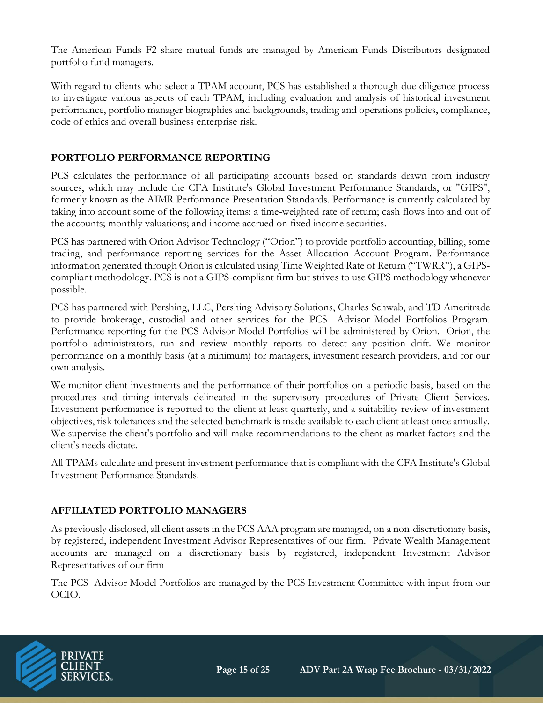The American Funds F2 share mutual funds are managed by American Funds Distributors designated portfolio fund managers.

With regard to clients who select a TPAM account, PCS has established a thorough due diligence process to investigate various aspects of each TPAM, including evaluation and analysis of historical investment performance, portfolio manager biographies and backgrounds, trading and operations policies, compliance, code of ethics and overall business enterprise risk.

# **PORTFOLIO PERFORMANCE REPORTING**

PCS calculates the performance of all participating accounts based on standards drawn from industry sources, which may include the CFA Institute's Global Investment Performance Standards, or "GIPS", formerly known as the AIMR Performance Presentation Standards. Performance is currently calculated by taking into account some of the following items: a time-weighted rate of return; cash flows into and out of the accounts; monthly valuations; and income accrued on fixed income securities.

PCS has partnered with Orion Advisor Technology ("Orion") to provide portfolio accounting, billing, some trading, and performance reporting services for the Asset Allocation Account Program. Performance information generated through Orion is calculated using Time Weighted Rate of Return ("TWRR"), a GIPScompliant methodology. PCS is not a GIPS-compliant firm but strives to use GIPS methodology whenever possible.

PCS has partnered with Pershing, LLC, Pershing Advisory Solutions, Charles Schwab, and TD Ameritrade to provide brokerage, custodial and other services for the PCS Advisor Model Portfolios Program. Performance reporting for the PCS Advisor Model Portfolios will be administered by Orion. Orion, the portfolio administrators, run and review monthly reports to detect any position drift. We monitor performance on a monthly basis (at a minimum) for managers, investment research providers, and for our own analysis.

We monitor client investments and the performance of their portfolios on a periodic basis, based on the procedures and timing intervals delineated in the supervisory procedures of Private Client Services. Investment performance is reported to the client at least quarterly, and a suitability review of investment objectives, risk tolerances and the selected benchmark is made available to each client at least once annually. We supervise the client's portfolio and will make recommendations to the client as market factors and the client's needs dictate.

All TPAMs calculate and present investment performance that is compliant with the CFA Institute's Global Investment Performance Standards.

# **AFFILIATED PORTFOLIO MANAGERS**

As previously disclosed, all client assets in the PCS AAA program are managed, on a non-discretionary basis, by registered, independent Investment Advisor Representatives of our firm. Private Wealth Management accounts are managed on a discretionary basis by registered, independent Investment Advisor Representatives of our firm

The PCS Advisor Model Portfolios are managed by the PCS Investment Committee with input from our OCIO.

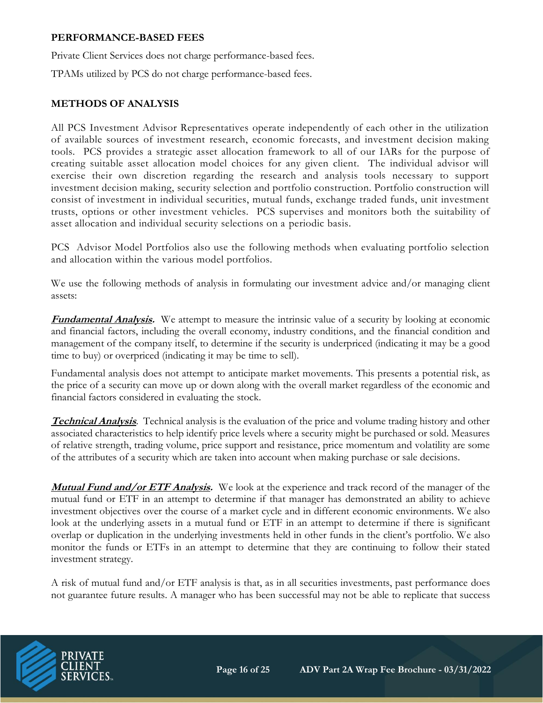#### **PERFORMANCE-BASED FEES**

Private Client Services does not charge performance-based fees.

TPAMs utilized by PCS do not charge performance-based fees.

### **METHODS OF ANALYSIS**

All PCS Investment Advisor Representatives operate independently of each other in the utilization of available sources of investment research, economic forecasts, and investment decision making tools. PCS provides a strategic asset allocation framework to all of our IARs for the purpose of creating suitable asset allocation model choices for any given client. The individual advisor will exercise their own discretion regarding the research and analysis tools necessary to support investment decision making, security selection and portfolio construction. Portfolio construction will consist of investment in individual securities, mutual funds, exchange traded funds, unit investment trusts, options or other investment vehicles. PCS supervises and monitors both the suitability of asset allocation and individual security selections on a periodic basis.

PCS Advisor Model Portfolios also use the following methods when evaluating portfolio selection and allocation within the various model portfolios.

We use the following methods of analysis in formulating our investment advice and/or managing client assets:

**Fundamental Analysis.** We attempt to measure the intrinsic value of a security by looking at economic and financial factors, including the overall economy, industry conditions, and the financial condition and management of the company itself, to determine if the security is underpriced (indicating it may be a good time to buy) or overpriced (indicating it may be time to sell).

Fundamental analysis does not attempt to anticipate market movements. This presents a potential risk, as the price of a security can move up or down along with the overall market regardless of the economic and financial factors considered in evaluating the stock.

**Technical Analysis**. Technical analysis is the evaluation of the price and volume trading history and other associated characteristics to help identify price levels where a security might be purchased or sold. Measures of relative strength, trading volume, price support and resistance, price momentum and volatility are some of the attributes of a security which are taken into account when making purchase or sale decisions.

**Mutual Fund and/or ETF Analysis.** We look at the experience and track record of the manager of the mutual fund or ETF in an attempt to determine if that manager has demonstrated an ability to achieve investment objectives over the course of a market cycle and in different economic environments. We also look at the underlying assets in a mutual fund or ETF in an attempt to determine if there is significant overlap or duplication in the underlying investments held in other funds in the client's portfolio. We also monitor the funds or ETFs in an attempt to determine that they are continuing to follow their stated investment strategy.

A risk of mutual fund and/or ETF analysis is that, as in all securities investments, past performance does not guarantee future results. A manager who has been successful may not be able to replicate that success

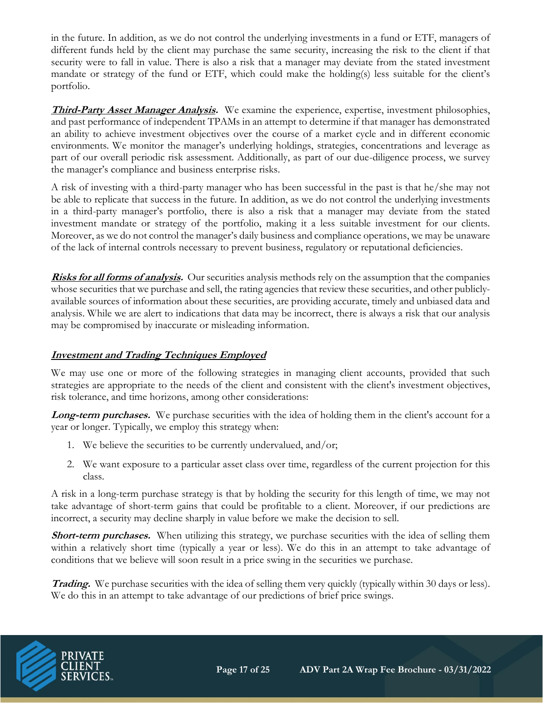in the future. In addition, as we do not control the underlying investments in a fund or ETF, managers of different funds held by the client may purchase the same security, increasing the risk to the client if that security were to fall in value. There is also a risk that a manager may deviate from the stated investment mandate or strategy of the fund or ETF, which could make the holding(s) less suitable for the client's portfolio.

**Third-Party Asset Manager Analysis.** We examine the experience, expertise, investment philosophies, and past performance of independent TPAMs in an attempt to determine if that manager has demonstrated an ability to achieve investment objectives over the course of a market cycle and in different economic environments. We monitor the manager's underlying holdings, strategies, concentrations and leverage as part of our overall periodic risk assessment. Additionally, as part of our due-diligence process, we survey the manager's compliance and business enterprise risks.

A risk of investing with a third-party manager who has been successful in the past is that he/she may not be able to replicate that success in the future. In addition, as we do not control the underlying investments in a third-party manager's portfolio, there is also a risk that a manager may deviate from the stated investment mandate or strategy of the portfolio, making it a less suitable investment for our clients. Moreover, as we do not control the manager's daily business and compliance operations, we may be unaware of the lack of internal controls necessary to prevent business, regulatory or reputational deficiencies.

**Risks for all forms of analysis.** Our securities analysis methods rely on the assumption that the companies whose securities that we purchase and sell, the rating agencies that review these securities, and other publiclyavailable sources of information about these securities, are providing accurate, timely and unbiased data and analysis. While we are alert to indications that data may be incorrect, there is always a risk that our analysis may be compromised by inaccurate or misleading information.

# **Investment and Trading Techniques Employed**

We may use one or more of the following strategies in managing client accounts, provided that such strategies are appropriate to the needs of the client and consistent with the client's investment objectives, risk tolerance, and time horizons, among other considerations:

**Long-term purchases.** We purchase securities with the idea of holding them in the client's account for a year or longer. Typically, we employ this strategy when:

- 1. We believe the securities to be currently undervalued, and/or;
- 2. We want exposure to a particular asset class over time, regardless of the current projection for this class.

A risk in a long-term purchase strategy is that by holding the security for this length of time, we may not take advantage of short-term gains that could be profitable to a client. Moreover, if our predictions are incorrect, a security may decline sharply in value before we make the decision to sell.

**Short-term purchases.** When utilizing this strategy, we purchase securities with the idea of selling them within a relatively short time (typically a year or less). We do this in an attempt to take advantage of conditions that we believe will soon result in a price swing in the securities we purchase.

**Trading.** We purchase securities with the idea of selling them very quickly (typically within 30 days or less). We do this in an attempt to take advantage of our predictions of brief price swings.

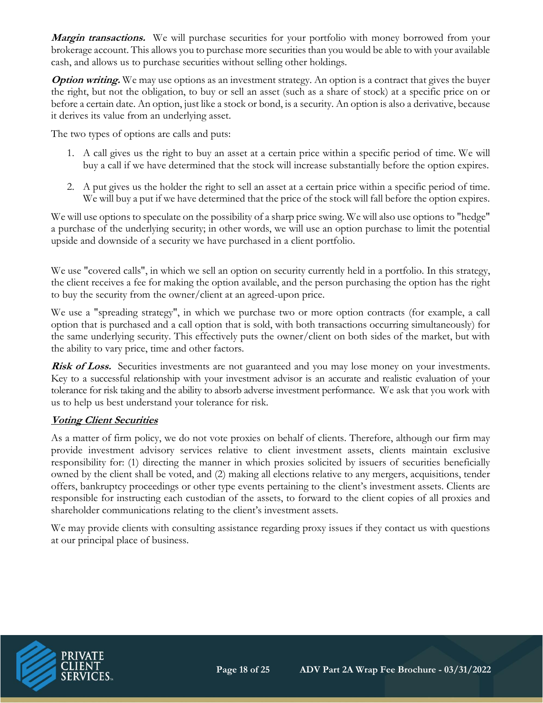**Margin transactions.** We will purchase securities for your portfolio with money borrowed from your brokerage account. This allows you to purchase more securities than you would be able to with your available cash, and allows us to purchase securities without selling other holdings.

**Option writing.** We may use options as an investment strategy. An option is a contract that gives the buyer the right, but not the obligation, to buy or sell an asset (such as a share of stock) at a specific price on or before a certain date. An option, just like a stock or bond, is a security. An option is also a derivative, because it derives its value from an underlying asset.

The two types of options are calls and puts:

- 1. A call gives us the right to buy an asset at a certain price within a specific period of time. We will buy a call if we have determined that the stock will increase substantially before the option expires.
- 2. A put gives us the holder the right to sell an asset at a certain price within a specific period of time. We will buy a put if we have determined that the price of the stock will fall before the option expires.

We will use options to speculate on the possibility of a sharp price swing. We will also use options to "hedge" a purchase of the underlying security; in other words, we will use an option purchase to limit the potential upside and downside of a security we have purchased in a client portfolio.

We use "covered calls", in which we sell an option on security currently held in a portfolio. In this strategy, the client receives a fee for making the option available, and the person purchasing the option has the right to buy the security from the owner/client at an agreed-upon price.

We use a "spreading strategy", in which we purchase two or more option contracts (for example, a call option that is purchased and a call option that is sold, with both transactions occurring simultaneously) for the same underlying security. This effectively puts the owner/client on both sides of the market, but with the ability to vary price, time and other factors.

**Risk of Loss.** Securities investments are not guaranteed and you may lose money on your investments. Key to a successful relationship with your investment advisor is an accurate and realistic evaluation of your tolerance for risk taking and the ability to absorb adverse investment performance. We ask that you work with us to help us best understand your tolerance for risk.

# **Voting Client Securities**

As a matter of firm policy, we do not vote proxies on behalf of clients. Therefore, although our firm may provide investment advisory services relative to client investment assets, clients maintain exclusive responsibility for: (1) directing the manner in which proxies solicited by issuers of securities beneficially owned by the client shall be voted, and (2) making all elections relative to any mergers, acquisitions, tender offers, bankruptcy proceedings or other type events pertaining to the client's investment assets. Clients are responsible for instructing each custodian of the assets, to forward to the client copies of all proxies and shareholder communications relating to the client's investment assets.

We may provide clients with consulting assistance regarding proxy issues if they contact us with questions at our principal place of business.

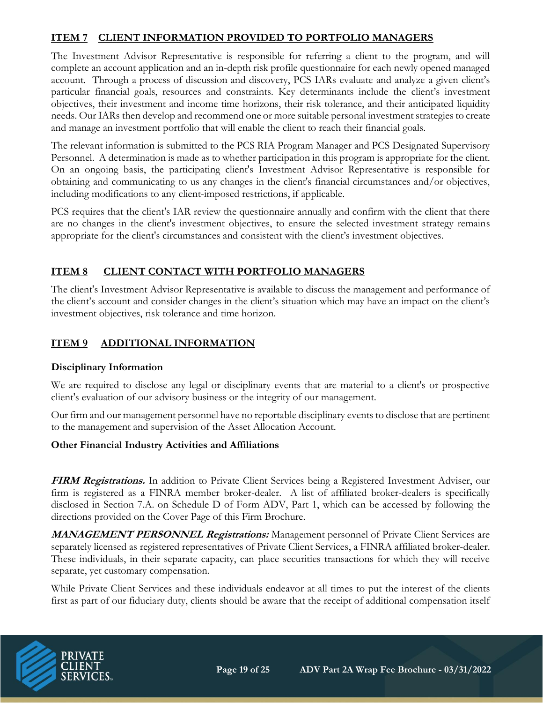# **ITEM 7 CLIENT INFORMATION PROVIDED TO PORTFOLIO MANAGERS**

The Investment Advisor Representative is responsible for referring a client to the program, and will complete an account application and an in-depth risk profile questionnaire for each newly opened managed account. Through a process of discussion and discovery, PCS IARs evaluate and analyze a given client's particular financial goals, resources and constraints. Key determinants include the client's investment objectives, their investment and income time horizons, their risk tolerance, and their anticipated liquidity needs. Our IARs then develop and recommend one or more suitable personal investment strategies to create and manage an investment portfolio that will enable the client to reach their financial goals.

The relevant information is submitted to the PCS RIA Program Manager and PCS Designated Supervisory Personnel. A determination is made as to whether participation in this program is appropriate for the client. On an ongoing basis, the participating client's Investment Advisor Representative is responsible for obtaining and communicating to us any changes in the client's financial circumstances and/or objectives, including modifications to any client-imposed restrictions, if applicable.

PCS requires that the client's IAR review the questionnaire annually and confirm with the client that there are no changes in the client's investment objectives, to ensure the selected investment strategy remains appropriate for the client's circumstances and consistent with the client's investment objectives.

# **ITEM 8 CLIENT CONTACT WITH PORTFOLIO MANAGERS**

The client's Investment Advisor Representative is available to discuss the management and performance of the client's account and consider changes in the client's situation which may have an impact on the client's investment objectives, risk tolerance and time horizon.

# **ITEM 9 ADDITIONAL INFORMATION**

#### **Disciplinary Information**

We are required to disclose any legal or disciplinary events that are material to a client's or prospective client's evaluation of our advisory business or the integrity of our management.

Our firm and our management personnel have no reportable disciplinary events to disclose that are pertinent to the management and supervision of the Asset Allocation Account.

#### **Other Financial Industry Activities and Affiliations**

**FIRM Registrations.** In addition to Private Client Services being a Registered Investment Adviser, our firm is registered as a FINRA member broker-dealer. A list of affiliated broker-dealers is specifically disclosed in Section 7.A. on Schedule D of Form ADV, Part 1, which can be accessed by following the directions provided on the Cover Page of this Firm Brochure.

**MANAGEMENT PERSONNEL Registrations:** Management personnel of Private Client Services are separately licensed as registered representatives of Private Client Services, a FINRA affiliated broker-dealer. These individuals, in their separate capacity, can place securities transactions for which they will receive separate, yet customary compensation.

While Private Client Services and these individuals endeavor at all times to put the interest of the clients first as part of our fiduciary duty, clients should be aware that the receipt of additional compensation itself

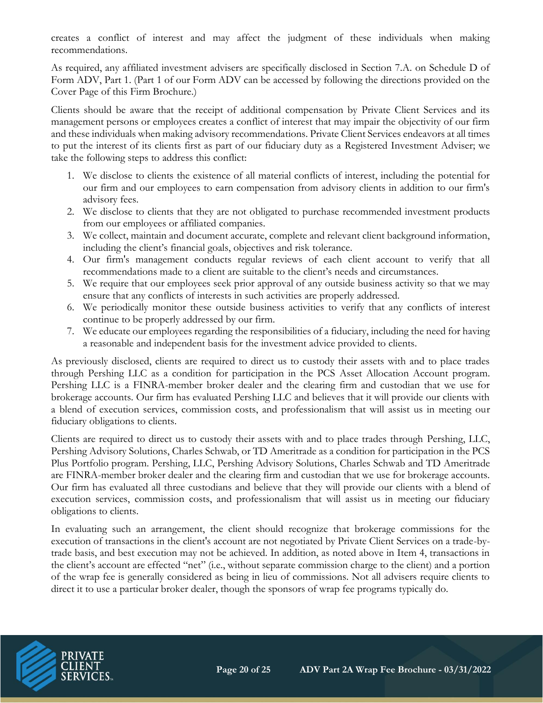creates a conflict of interest and may affect the judgment of these individuals when making recommendations.

As required, any affiliated investment advisers are specifically disclosed in Section 7.A. on Schedule D of Form ADV, Part 1. (Part 1 of our Form ADV can be accessed by following the directions provided on the Cover Page of this Firm Brochure.)

Clients should be aware that the receipt of additional compensation by Private Client Services and its management persons or employees creates a conflict of interest that may impair the objectivity of our firm and these individuals when making advisory recommendations. Private Client Services endeavors at all times to put the interest of its clients first as part of our fiduciary duty as a Registered Investment Adviser; we take the following steps to address this conflict:

- 1. We disclose to clients the existence of all material conflicts of interest, including the potential for our firm and our employees to earn compensation from advisory clients in addition to our firm's advisory fees.
- 2. We disclose to clients that they are not obligated to purchase recommended investment products from our employees or affiliated companies.
- 3. We collect, maintain and document accurate, complete and relevant client background information, including the client's financial goals, objectives and risk tolerance.
- 4. Our firm's management conducts regular reviews of each client account to verify that all recommendations made to a client are suitable to the client's needs and circumstances.
- 5. We require that our employees seek prior approval of any outside business activity so that we may ensure that any conflicts of interests in such activities are properly addressed.
- 6. We periodically monitor these outside business activities to verify that any conflicts of interest continue to be properly addressed by our firm.
- 7. We educate our employees regarding the responsibilities of a fiduciary, including the need for having a reasonable and independent basis for the investment advice provided to clients.

As previously disclosed, clients are required to direct us to custody their assets with and to place trades through Pershing LLC as a condition for participation in the PCS Asset Allocation Account program. Pershing LLC is a FINRA-member broker dealer and the clearing firm and custodian that we use for brokerage accounts. Our firm has evaluated Pershing LLC and believes that it will provide our clients with a blend of execution services, commission costs, and professionalism that will assist us in meeting our fiduciary obligations to clients.

Clients are required to direct us to custody their assets with and to place trades through Pershing, LLC, Pershing Advisory Solutions, Charles Schwab, or TD Ameritrade as a condition for participation in the PCS Plus Portfolio program. Pershing, LLC, Pershing Advisory Solutions, Charles Schwab and TD Ameritrade are FINRA-member broker dealer and the clearing firm and custodian that we use for brokerage accounts. Our firm has evaluated all three custodians and believe that they will provide our clients with a blend of execution services, commission costs, and professionalism that will assist us in meeting our fiduciary obligations to clients.

In evaluating such an arrangement, the client should recognize that brokerage commissions for the execution of transactions in the client's account are not negotiated by Private Client Services on a trade-bytrade basis, and best execution may not be achieved. In addition, as noted above in Item 4, transactions in the client's account are effected "net" (i.e., without separate commission charge to the client) and a portion of the wrap fee is generally considered as being in lieu of commissions. Not all advisers require clients to direct it to use a particular broker dealer, though the sponsors of wrap fee programs typically do.

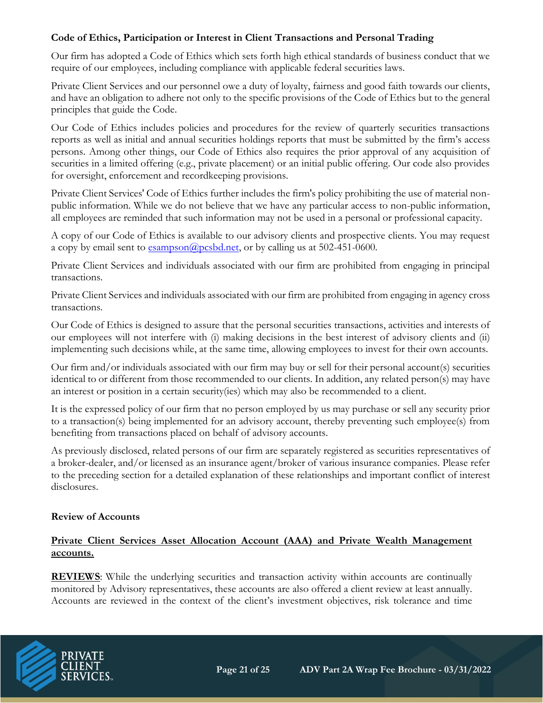# **Code of Ethics, Participation or Interest in Client Transactions and Personal Trading**

Our firm has adopted a Code of Ethics which sets forth high ethical standards of business conduct that we require of our employees, including compliance with applicable federal securities laws.

Private Client Services and our personnel owe a duty of loyalty, fairness and good faith towards our clients, and have an obligation to adhere not only to the specific provisions of the Code of Ethics but to the general principles that guide the Code.

Our Code of Ethics includes policies and procedures for the review of quarterly securities transactions reports as well as initial and annual securities holdings reports that must be submitted by the firm's access persons. Among other things, our Code of Ethics also requires the prior approval of any acquisition of securities in a limited offering (e.g., private placement) or an initial public offering. Our code also provides for oversight, enforcement and recordkeeping provisions.

Private Client Services' Code of Ethics further includes the firm's policy prohibiting the use of material nonpublic information. While we do not believe that we have any particular access to non-public information, all employees are reminded that such information may not be used in a personal or professional capacity.

A copy of our Code of Ethics is available to our advisory clients and prospective clients. You may request a copy by email sent to  $\frac{esampson(\mathcal{Q}pcsbd.net)}{esampson(\mathcal{Q}pcsbd.net)}$ , or by calling us at 502-451-0600.

Private Client Services and individuals associated with our firm are prohibited from engaging in principal transactions.

Private Client Services and individuals associated with our firm are prohibited from engaging in agency cross transactions.

Our Code of Ethics is designed to assure that the personal securities transactions, activities and interests of our employees will not interfere with (i) making decisions in the best interest of advisory clients and (ii) implementing such decisions while, at the same time, allowing employees to invest for their own accounts.

Our firm and/or individuals associated with our firm may buy or sell for their personal account(s) securities identical to or different from those recommended to our clients. In addition, any related person(s) may have an interest or position in a certain security(ies) which may also be recommended to a client.

It is the expressed policy of our firm that no person employed by us may purchase or sell any security prior to a transaction(s) being implemented for an advisory account, thereby preventing such employee(s) from benefiting from transactions placed on behalf of advisory accounts.

As previously disclosed, related persons of our firm are separately registered as securities representatives of a broker-dealer, and/or licensed as an insurance agent/broker of various insurance companies. Please refer to the preceding section for a detailed explanation of these relationships and important conflict of interest disclosures.

# **Review of Accounts**

# **Private Client Services Asset Allocation Account (AAA) and Private Wealth Management accounts.**

**REVIEWS**: While the underlying securities and transaction activity within accounts are continually monitored by Advisory representatives, these accounts are also offered a client review at least annually. Accounts are reviewed in the context of the client's investment objectives, risk tolerance and time

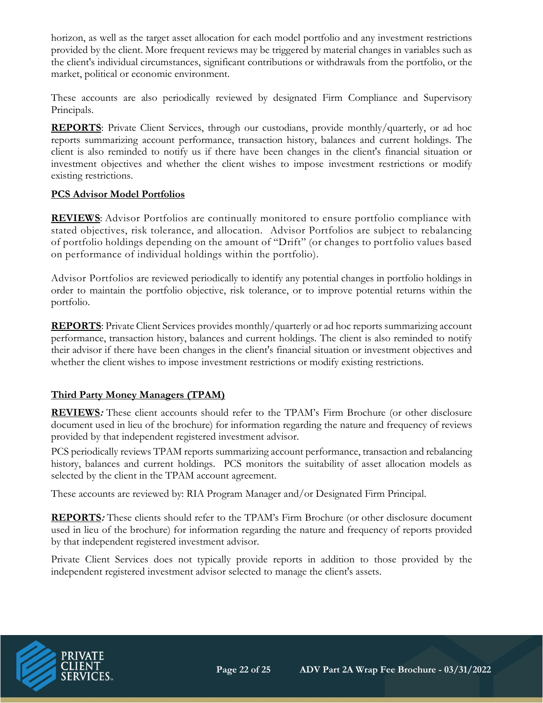horizon, as well as the target asset allocation for each model portfolio and any investment restrictions provided by the client. More frequent reviews may be triggered by material changes in variables such as the client's individual circumstances, significant contributions or withdrawals from the portfolio, or the market, political or economic environment.

These accounts are also periodically reviewed by designated Firm Compliance and Supervisory Principals.

REPORTS: Private Client Services, through our custodians, provide monthly/quarterly, or ad hoc reports summarizing account performance, transaction history, balances and current holdings. The client is also reminded to notify us if there have been changes in the client's financial situation or investment objectives and whether the client wishes to impose investment restrictions or modify existing restrictions.

#### **PCS Advisor Model Portfolios**

**REVIEWS**: Advisor Portfolios are continually monitored to ensure portfolio compliance with stated objectives, risk tolerance, and allocation. Advisor Portfolios are subject to rebalancing of portfolio holdings depending on the amount of "Drift" (or changes to portfolio values based on performance of individual holdings within the portfolio).

Advisor Portfolios are reviewed periodically to identify any potential changes in portfolio holdings in order to maintain the portfolio objective, risk tolerance, or to improve potential returns within the portfolio.

**REPORTS**: Private Client Services provides monthly/quarterly or ad hoc reports summarizing account performance, transaction history, balances and current holdings. The client is also reminded to notify their advisor if there have been changes in the client's financial situation or investment objectives and whether the client wishes to impose investment restrictions or modify existing restrictions.

# **Third Party Money Managers (TPAM)**

**REVIEWS:** These client accounts should refer to the TPAM's Firm Brochure (or other disclosure document used in lieu of the brochure) for information regarding the nature and frequency of reviews provided by that independent registered investment advisor.

PCS periodically reviews TPAM reports summarizing account performance, transaction and rebalancing history, balances and current holdings. PCS monitors the suitability of asset allocation models as selected by the client in the TPAM account agreement.

These accounts are reviewed by: RIA Program Manager and/or Designated Firm Principal.

**REPORTS:** These clients should refer to the TPAM's Firm Brochure (or other disclosure document used in lieu of the brochure) for information regarding the nature and frequency of reports provided by that independent registered investment advisor.

Private Client Services does not typically provide reports in addition to those provided by the independent registered investment advisor selected to manage the client's assets.

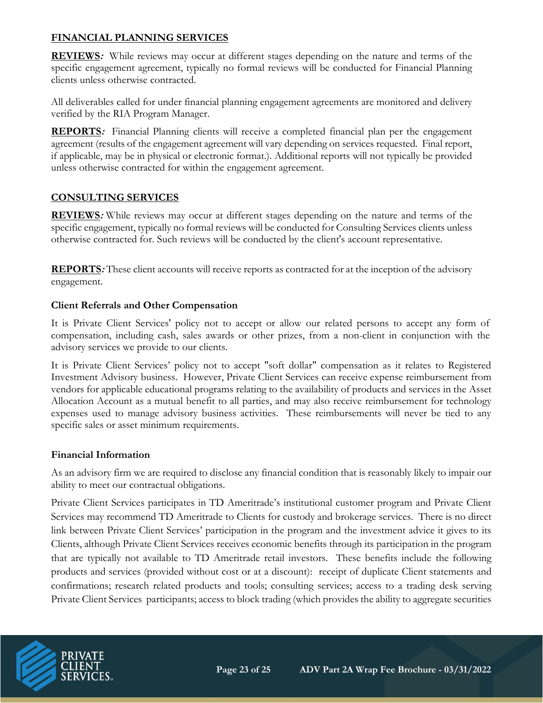# **FINANCIAL PLANNING SERVICES**

**REVIEWS:** While reviews may occur at different stages depending on the nature and terms of the specific engagement agreement, typically no formal reviews will be conducted for Financial Planning clients unless otherwise contracted.

All deliverables called for under financial planning engagement agreements are monitored and delivery verified by the RIA Program Manager.

**REPORTS:** Financial Planning clients will receive a completed financial plan per the engagement agreement (results of the engagement agreement will vary depending on services requested. Final report, if applicable, may be in physical or electronic format.). Additional reports will not typically be provided unless otherwise contracted for within the engagement agreement.

# **CONSULTING SERVICES**

**REVIEWS:** While reviews may occur at different stages depending on the nature and terms of the specific engagement, typically no formal reviews will be conducted for Consulting Services clients unless otherwise contracted for. Such reviews will be conducted by the client's account representative.

**REPORTS:** These client accounts will receive reports as contracted for at the inception of the advisory engagement.

# **Client Referrals and Other Compensation**

It is Private Client Services' policy not to accept or allow our related persons to accept any form of compensation, including cash, sales awards or other prizes, from a non-client in conjunction with the advisory services we provide to our clients.

It is Private Client Services' policy not to accept "soft dollar" compensation as it relates to Registered Investment Advisory business. However, Private Client Services can receive expense reimbursement from vendors for applicable educational programs relating to the availability of products and services in the Asset Allocation Account as a mutual benefit to all parties, and may also receive reimbursement for technology expenses used to manage advisory business activities. These reimbursements will never be tied to any specific sales or asset minimum requirements.

# **Financial Information**

As an advisory firm we are required to disclose any financial condition that is reasonably likely to impair our ability to meet our contractual obligations.

Private Client Services participates in TD Ameritrade's institutional customer program and Private Client Services may recommend TD Ameritrade to Clients for custody and brokerage services. There is no direct link between Private Client Services' participation in the program and the investment advice it gives to its Clients, although Private Client Services receives economic benefits through its participation in the program that are typically not available to TD Ameritrade retail investors. These benefits include the following products and services (provided without cost or at a discount): receipt of duplicate Client statements and confirmations; research related products and tools; consulting services; access to a trading desk serving Private Client Services participants; access to block trading (which provides the ability to aggregate securities

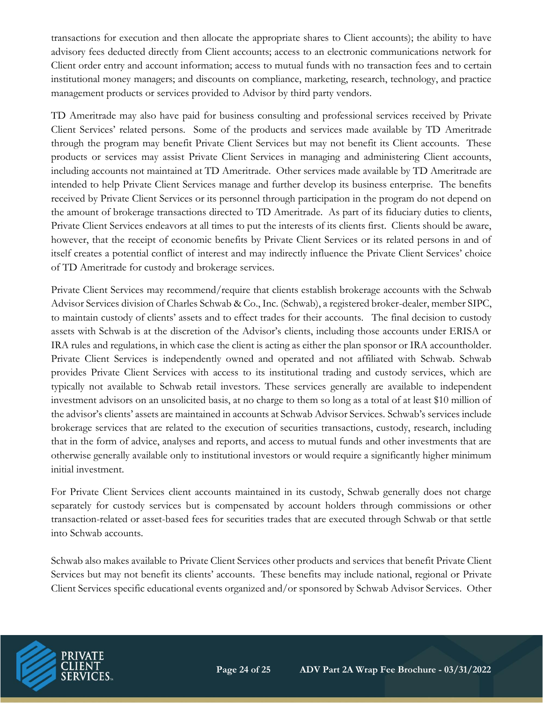transactions for execution and then allocate the appropriate shares to Client accounts); the ability to have advisory fees deducted directly from Client accounts; access to an electronic communications network for Client order entry and account information; access to mutual funds with no transaction fees and to certain institutional money managers; and discounts on compliance, marketing, research, technology, and practice management products or services provided to Advisor by third party vendors.

TD Ameritrade may also have paid for business consulting and professional services received by Private Client Services' related persons. Some of the products and services made available by TD Ameritrade through the program may benefit Private Client Services but may not benefit its Client accounts. These products or services may assist Private Client Services in managing and administering Client accounts, including accounts not maintained at TD Ameritrade. Other services made available by TD Ameritrade are intended to help Private Client Services manage and further develop its business enterprise. The benefits received by Private Client Services or its personnel through participation in the program do not depend on the amount of brokerage transactions directed to TD Ameritrade. As part of its fiduciary duties to clients, Private Client Services endeavors at all times to put the interests of its clients first. Clients should be aware, however, that the receipt of economic benefits by Private Client Services or its related persons in and of itself creates a potential conflict of interest and may indirectly influence the Private Client Services' choice of TD Ameritrade for custody and brokerage services.

Private Client Services may recommend/require that clients establish brokerage accounts with the Schwab Advisor Services division of Charles Schwab & Co., Inc. (Schwab), a registered broker-dealer, member SIPC, to maintain custody of clients' assets and to effect trades for their accounts. The final decision to custody assets with Schwab is at the discretion of the Advisor's clients, including those accounts under ERISA or IRA rules and regulations, in which case the client is acting as either the plan sponsor or IRA accountholder. Private Client Services is independently owned and operated and not affiliated with Schwab. Schwab provides Private Client Services with access to its institutional trading and custody services, which are typically not available to Schwab retail investors. These services generally are available to independent investment advisors on an unsolicited basis, at no charge to them so long as a total of at least \$10 million of the advisor's clients' assets are maintained in accounts at Schwab Advisor Services. Schwab's services include brokerage services that are related to the execution of securities transactions, custody, research, including that in the form of advice, analyses and reports, and access to mutual funds and other investments that are otherwise generally available only to institutional investors or would require a significantly higher minimum initial investment.

For Private Client Services client accounts maintained in its custody, Schwab generally does not charge separately for custody services but is compensated by account holders through commissions or other transaction-related or asset-based fees for securities trades that are executed through Schwab or that settle into Schwab accounts.

Schwab also makes available to Private Client Services other products and services that benefit Private Client Services but may not benefit its clients' accounts. These benefits may include national, regional or Private Client Services specific educational events organized and/or sponsored by Schwab Advisor Services. Other